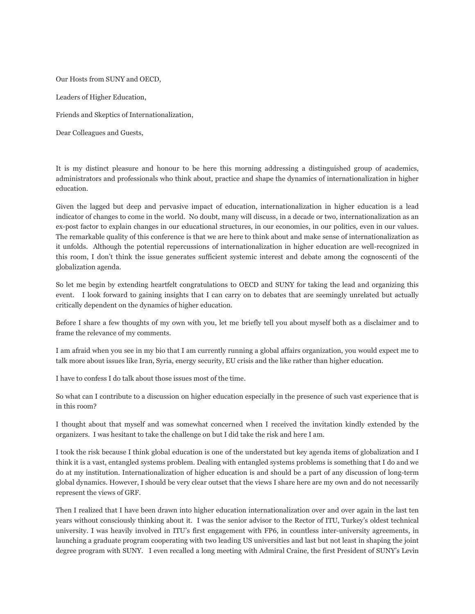Our Hosts from SUNY and OECD,

Leaders of Higher Education,

Friends and Skeptics of Internationalization,

Dear Colleagues and Guests,

It is my distinct pleasure and honour to be here this morning addressing a distinguished group of academics, administrators and professionals who think about, practice and shape the dynamics of internationalization in higher education.

Given the lagged but deep and pervasive impact of education, internationalization in higher education is a lead indicator of changes to come in the world. No doubt, many will discuss, in a decade or two, internationalization as an ex-post factor to explain changes in our educational structures, in our economies, in our politics, even in our values. The remarkable quality of this conference is that we are here to think about and make sense of internationalization as it unfolds. Although the potential repercussions of internationalization in higher education are well-recognized in this room, I don't think the issue generates sufficient systemic interest and debate among the cognoscenti of the globalization agenda.

So let me begin by extending heartfelt congratulations to OECD and SUNY for taking the lead and organizing this event. I look forward to gaining insights that I can carry on to debates that are seemingly unrelated but actually critically dependent on the dynamics of higher education.

Before I share a few thoughts of my own with you, let me briefly tell you about myself both as a disclaimer and to frame the relevance of my comments.

I am afraid when you see in my bio that I am currently running a global affairs organization, you would expect me to talk more about issues like Iran, Syria, energy security, EU crisis and the like rather than higher education.

I have to confess I do talk about those issues most of the time.

So what can I contribute to a discussion on higher education especially in the presence of such vast experience that is in this room?

I thought about that myself and was somewhat concerned when I received the invitation kindly extended by the organizers. I was hesitant to take the challenge on but I did take the risk and here I am.

I took the risk because I think global education is one of the understated but key agenda items of globalization and I think it is a vast, entangled systems problem. Dealing with entangled systems problems is something that I do and we do at my institution. Internationalization of higher education is and should be a part of any discussion of long-term global dynamics. However, I should be very clear outset that the views I share here are my own and do not necessarily represent the views of GRF.

Then I realized that I have been drawn into higher education internationalization over and over again in the last ten years without consciously thinking about it. I was the senior advisor to the Rector of ITU, Turkey's oldest technical university. I was heavily involved in ITU's first engagement with FP6, in countless inter-university agreements, in launching a graduate program cooperating with two leading US universities and last but not least in shaping the joint degree program with SUNY. I even recalled a long meeting with Admiral Craine, the first President of SUNY's Levin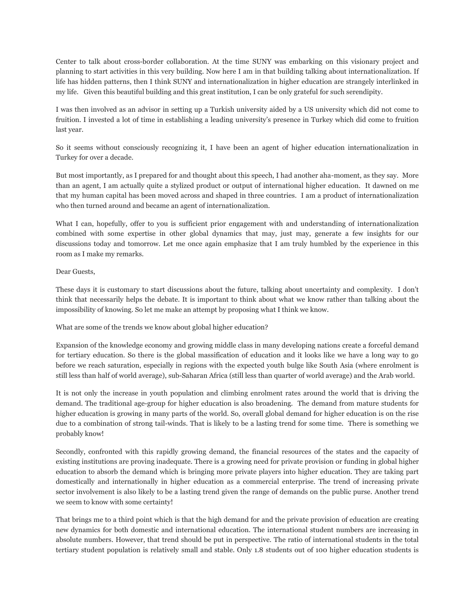Center to talk about cross-border collaboration. At the time SUNY was embarking on this visionary project and planning to start activities in this very building. Now here I am in that building talking about internationalization. If life has hidden patterns, then I think SUNY and internationalization in higher education are strangely interlinked in my life. Given this beautiful building and this great institution, I can be only grateful for such serendipity.

I was then involved as an advisor in setting up a Turkish university aided by a US university which did not come to fruition. I invested a lot of time in establishing a leading university's presence in Turkey which did come to fruition last year.

So it seems without consciously recognizing it, I have been an agent of higher education internationalization in Turkey for over a decade.

But most importantly, as I prepared for and thought about this speech, I had another aha-moment, as they say. More than an agent, I am actually quite a stylized product or output of international higher education. It dawned on me that my human capital has been moved across and shaped in three countries. I am a product of internationalization who then turned around and became an agent of internationalization.

What I can, hopefully, offer to you is sufficient prior engagement with and understanding of internationalization combined with some expertise in other global dynamics that may, just may, generate a few insights for our discussions today and tomorrow. Let me once again emphasize that I am truly humbled by the experience in this room as I make my remarks.

## Dear Guests,

These days it is customary to start discussions about the future, talking about uncertainty and complexity. I don't think that necessarily helps the debate. It is important to think about what we know rather than talking about the impossibility of knowing. So let me make an attempt by proposing what I think we know.

What are some of the trends we know about global higher education?

Expansion of the knowledge economy and growing middle class in many developing nations create a forceful demand for tertiary education. So there is the global massification of education and it looks like we have a long way to go before we reach saturation, especially in regions with the expected youth bulge like South Asia (where enrolment is still less than half of world average), sub-Saharan Africa (still less than quarter of world average) and the Arab world.

It is not only the increase in youth population and climbing enrolment rates around the world that is driving the demand. The traditional age-group for higher education is also broadening. The demand from mature students for higher education is growing in many parts of the world. So, overall global demand for higher education is on the rise due to a combination of strong tail-winds. That is likely to be a lasting trend for some time. There is something we probably know!

Secondly, confronted with this rapidly growing demand, the financial resources of the states and the capacity of existing institutions are proving inadequate. There is a growing need for private provision or funding in global higher education to absorb the demand which is bringing more private players into higher education. They are taking part domestically and internationally in higher education as a commercial enterprise. The trend of increasing private sector involvement is also likely to be a lasting trend given the range of demands on the public purse. Another trend we seem to know with some certainty!

That brings me to a third point which is that the high demand for and the private provision of education are creating new dynamics for both domestic and international education. The international student numbers are increasing in absolute numbers. However, that trend should be put in perspective. The ratio of international students in the total tertiary student population is relatively small and stable. Only 1.8 students out of 100 higher education students is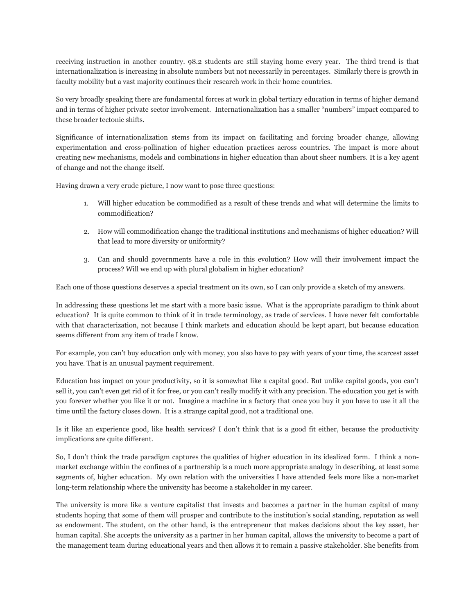receiving instruction in another country. 98.2 students are still staying home every year. The third trend is that internationalization is increasing in absolute numbers but not necessarily in percentages. Similarly there is growth in faculty mobility but a vast majority continues their research work in their home countries.

So very broadly speaking there are fundamental forces at work in global tertiary education in terms of higher demand and in terms of higher private sector involvement. Internationalization has a smaller "numbers" impact compared to these broader tectonic shifts.

Significance of internationalization stems from its impact on facilitating and forcing broader change, allowing experimentation and cross-pollination of higher education practices across countries. The impact is more about creating new mechanisms, models and combinations in higher education than about sheer numbers. It is a key agent of change and not the change itself.

Having drawn a very crude picture, I now want to pose three questions:

- 1. Will higher education be commodified as a result of these trends and what will determine the limits to commodification?
- 2. How will commodification change the traditional institutions and mechanisms of higher education? Will that lead to more diversity or uniformity?
- 3. Can and should governments have a role in this evolution? How will their involvement impact the process? Will we end up with plural globalism in higher education?

Each one of those questions deserves a special treatment on its own, so I can only provide a sketch of my answers.

In addressing these questions let me start with a more basic issue. What is the appropriate paradigm to think about education? It is quite common to think of it in trade terminology, as trade of services. I have never felt comfortable with that characterization, not because I think markets and education should be kept apart, but because education seems different from any item of trade I know.

For example, you can't buy education only with money, you also have to pay with years of your time, the scarcest asset you have. That is an unusual payment requirement.

Education has impact on your productivity, so it is somewhat like a capital good. But unlike capital goods, you can't sell it, you can't even get rid of it for free, or you can't really modify it with any precision. The education you get is with you forever whether you like it or not. Imagine a machine in a factory that once you buy it you have to use it all the time until the factory closes down. It is a strange capital good, not a traditional one.

Is it like an experience good, like health services? I don't think that is a good fit either, because the productivity implications are quite different.

So, I don't think the trade paradigm captures the qualities of higher education in its idealized form. I think a nonmarket exchange within the confines of a partnership is a much more appropriate analogy in describing, at least some segments of, higher education. My own relation with the universities I have attended feels more like a non-market long-term relationship where the university has become a stakeholder in my career.

The university is more like a venture capitalist that invests and becomes a partner in the human capital of many students hoping that some of them will prosper and contribute to the institution's social standing, reputation as well as endowment. The student, on the other hand, is the entrepreneur that makes decisions about the key asset, her human capital. She accepts the university as a partner in her human capital, allows the university to become a part of the management team during educational years and then allows it to remain a passive stakeholder. She benefits from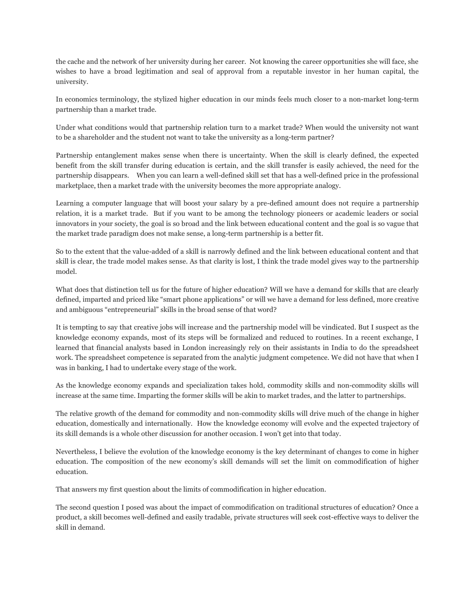the cache and the network of her university during her career. Not knowing the career opportunities she will face, she wishes to have a broad legitimation and seal of approval from a reputable investor in her human capital, the university.

In economics terminology, the stylized higher education in our minds feels much closer to a non-market long-term partnership than a market trade.

Under what conditions would that partnership relation turn to a market trade? When would the university not want to be a shareholder and the student not want to take the university as a long-term partner?

Partnership entanglement makes sense when there is uncertainty. When the skill is clearly defined, the expected benefit from the skill transfer during education is certain, and the skill transfer is easily achieved, the need for the partnership disappears. When you can learn a well-defined skill set that has a well-defined price in the professional marketplace, then a market trade with the university becomes the more appropriate analogy.

Learning a computer language that will boost your salary by a pre-defined amount does not require a partnership relation, it is a market trade. But if you want to be among the technology pioneers or academic leaders or social innovators in your society, the goal is so broad and the link between educational content and the goal is so vague that the market trade paradigm does not make sense, a long-term partnership is a better fit.

So to the extent that the value-added of a skill is narrowly defined and the link between educational content and that skill is clear, the trade model makes sense. As that clarity is lost, I think the trade model gives way to the partnership model.

What does that distinction tell us for the future of higher education? Will we have a demand for skills that are clearly defined, imparted and priced like "smart phone applications" or will we have a demand for less defined, more creative and ambiguous "entrepreneurial" skills in the broad sense of that word?

It is tempting to say that creative jobs will increase and the partnership model will be vindicated. But I suspect as the knowledge economy expands, most of its steps will be formalized and reduced to routines. In a recent exchange, I learned that financial analysts based in London increasingly rely on their assistants in India to do the spreadsheet work. The spreadsheet competence is separated from the analytic judgment competence. We did not have that when I was in banking, I had to undertake every stage of the work.

As the knowledge economy expands and specialization takes hold, commodity skills and non-commodity skills will increase at the same time. Imparting the former skills will be akin to market trades, and the latter to partnerships.

The relative growth of the demand for commodity and non-commodity skills will drive much of the change in higher education, domestically and internationally. How the knowledge economy will evolve and the expected trajectory of its skill demands is a whole other discussion for another occasion. I won't get into that today.

Nevertheless, I believe the evolution of the knowledge economy is the key determinant of changes to come in higher education. The composition of the new economy's skill demands will set the limit on commodification of higher education.

That answers my first question about the limits of commodification in higher education.

The second question I posed was about the impact of commodification on traditional structures of education? Once a product, a skill becomes well-defined and easily tradable, private structures will seek cost-effective ways to deliver the skill in demand.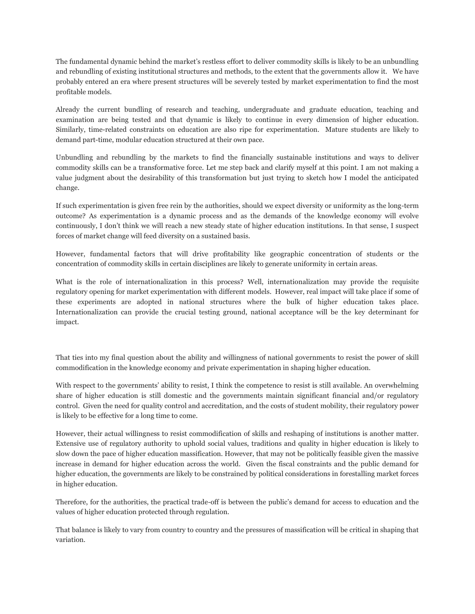The fundamental dynamic behind the market's restless effort to deliver commodity skills is likely to be an unbundling and rebundling of existing institutional structures and methods, to the extent that the governments allow it. We have probably entered an era where present structures will be severely tested by market experimentation to find the most profitable models.

Already the current bundling of research and teaching, undergraduate and graduate education, teaching and examination are being tested and that dynamic is likely to continue in every dimension of higher education. Similarly, time-related constraints on education are also ripe for experimentation. Mature students are likely to demand part-time, modular education structured at their own pace.

Unbundling and rebundling by the markets to find the financially sustainable institutions and ways to deliver commodity skills can be a transformative force. Let me step back and clarify myself at this point. I am not making a value judgment about the desirability of this transformation but just trying to sketch how I model the anticipated change.

If such experimentation is given free rein by the authorities, should we expect diversity or uniformity as the long-term outcome? As experimentation is a dynamic process and as the demands of the knowledge economy will evolve continuously, I don't think we will reach a new steady state of higher education institutions. In that sense, I suspect forces of market change will feed diversity on a sustained basis.

However, fundamental factors that will drive profitability like geographic concentration of students or the concentration of commodity skills in certain disciplines are likely to generate uniformity in certain areas.

What is the role of internationalization in this process? Well, internationalization may provide the requisite regulatory opening for market experimentation with different models. However, real impact will take place if some of these experiments are adopted in national structures where the bulk of higher education takes place. Internationalization can provide the crucial testing ground, national acceptance will be the key determinant for impact.

That ties into my final question about the ability and willingness of national governments to resist the power of skill commodification in the knowledge economy and private experimentation in shaping higher education.

With respect to the governments' ability to resist, I think the competence to resist is still available. An overwhelming share of higher education is still domestic and the governments maintain significant financial and/or regulatory control. Given the need for quality control and accreditation, and the costs of student mobility, their regulatory power is likely to be effective for a long time to come.

However, their actual willingness to resist commodification of skills and reshaping of institutions is another matter. Extensive use of regulatory authority to uphold social values, traditions and quality in higher education is likely to slow down the pace of higher education massification. However, that may not be politically feasible given the massive increase in demand for higher education across the world. Given the fiscal constraints and the public demand for higher education, the governments are likely to be constrained by political considerations in forestalling market forces in higher education.

Therefore, for the authorities, the practical trade-off is between the public's demand for access to education and the values of higher education protected through regulation.

That balance is likely to vary from country to country and the pressures of massification will be critical in shaping that variation.